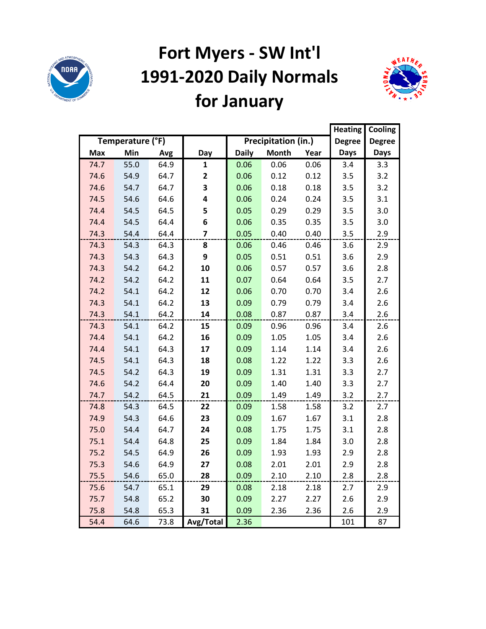

# **Fort Myers - SW Int'l 1991-2020 Daily Normals for January**



|            |                  |      |                         |              |                     |      | <b>Heating</b> | Cooling       |
|------------|------------------|------|-------------------------|--------------|---------------------|------|----------------|---------------|
|            | Temperature (°F) |      |                         |              | Precipitation (in.) |      | <b>Degree</b>  | <b>Degree</b> |
| <b>Max</b> | Min              | Avg  | Day                     | <b>Daily</b> | <b>Month</b>        | Year | <b>Days</b>    | <b>Days</b>   |
| 74.7       | 55.0             | 64.9 | 1                       | 0.06         | 0.06                | 0.06 | 3.4            | 3.3           |
| 74.6       | 54.9             | 64.7 | 2                       | 0.06         | 0.12                | 0.12 | 3.5            | 3.2           |
| 74.6       | 54.7             | 64.7 | 3                       | 0.06         | 0.18                | 0.18 | 3.5            | 3.2           |
| 74.5       | 54.6             | 64.6 | 4                       | 0.06         | 0.24                | 0.24 | 3.5            | 3.1           |
| 74.4       | 54.5             | 64.5 | 5                       | 0.05         | 0.29                | 0.29 | 3.5            | 3.0           |
| 74.4       | 54.5             | 64.4 | 6                       | 0.06         | 0.35                | 0.35 | 3.5            | 3.0           |
| 74.3       | 54.4             | 64.4 | $\overline{\mathbf{z}}$ | 0.05         | 0.40                | 0.40 | 3.5            | 2.9           |
| 74.3       | 54.3             | 64.3 | 8                       | 0.06         | 0.46                | 0.46 | 3.6            | 2.9           |
| 74.3       | 54.3             | 64.3 | 9                       | 0.05         | 0.51                | 0.51 | 3.6            | 2.9           |
| 74.3       | 54.2             | 64.2 | 10                      | 0.06         | 0.57                | 0.57 | 3.6            | 2.8           |
| 74.2       | 54.2             | 64.2 | 11                      | 0.07         | 0.64                | 0.64 | 3.5            | 2.7           |
| 74.2       | 54.1             | 64.2 | 12                      | 0.06         | 0.70                | 0.70 | 3.4            | 2.6           |
| 74.3       | 54.1             | 64.2 | 13                      | 0.09         | 0.79                | 0.79 | 3.4            | 2.6           |
| 74.3       | 54.1             | 64.2 | 14                      | 0.08         | 0.87                | 0.87 | 3.4            | 2.6           |
| 74.3       | 54.1             | 64.2 | 15                      | 0.09         | 0.96                | 0.96 | 3.4            | 2.6           |
| 74.4       | 54.1             | 64.2 | 16                      | 0.09         | 1.05                | 1.05 | 3.4            | 2.6           |
| 74.4       | 54.1             | 64.3 | 17                      | 0.09         | 1.14                | 1.14 | 3.4            | 2.6           |
| 74.5       | 54.1             | 64.3 | 18                      | 0.08         | 1.22                | 1.22 | 3.3            | 2.6           |
| 74.5       | 54.2             | 64.3 | 19                      | 0.09         | 1.31                | 1.31 | 3.3            | 2.7           |
| 74.6       | 54.2             | 64.4 | 20                      | 0.09         | 1.40                | 1.40 | 3.3            | 2.7           |
| 74.7       | 54.2             | 64.5 | 21                      | 0.09         | 1.49                | 1.49 | 3.2            | 2.7           |
| 74.8       | 54.3             | 64.5 | 22                      | 0.09         | 1.58                | 1.58 | 3.2            | 2.7           |
| 74.9       | 54.3             | 64.6 | 23                      | 0.09         | 1.67                | 1.67 | 3.1            | 2.8           |
| 75.0       | 54.4             | 64.7 | 24                      | 0.08         | 1.75                | 1.75 | 3.1            | 2.8           |
| 75.1       | 54.4             | 64.8 | 25                      | 0.09         | 1.84                | 1.84 | 3.0            | 2.8           |
| 75.2       | 54.5             | 64.9 | 26                      | 0.09         | 1.93                | 1.93 | 2.9            | 2.8           |
| 75.3       | 54.6             | 64.9 | 27                      | 0.08         | 2.01                | 2.01 | 2.9            | 2.8           |
| 75.5       | 54.6             | 65.0 | 28                      | 0.09         | 2.10                | 2.10 | 2.8            | 2.8           |
| 75.6       | 54.7             | 65.1 | 29                      | 0.08         | 2.18                | 2.18 | 2.7            | 2.9           |
| 75.7       | 54.8             | 65.2 | 30                      | 0.09         | 2.27                | 2.27 | 2.6            | 2.9           |
| 75.8       | 54.8             | 65.3 | 31                      | 0.09         | 2.36                | 2.36 | 2.6            | 2.9           |
| 54.4       | 64.6             | 73.8 | Avg/Total               | 2.36         |                     |      | 101            | 87            |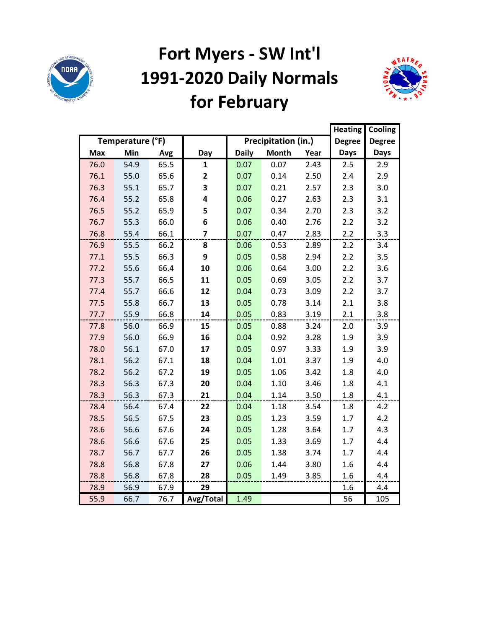

## **Fort Myers - SW Int'l 1991-2020 Daily Normals for February**



|            |                  |      |                         |              |                     |      | <b>Heating</b> | Cooling       |
|------------|------------------|------|-------------------------|--------------|---------------------|------|----------------|---------------|
|            | Temperature (°F) |      |                         |              | Precipitation (in.) |      | <b>Degree</b>  | <b>Degree</b> |
| <b>Max</b> | Min              | Avg  | Day                     | <b>Daily</b> | <b>Month</b>        | Year | <b>Days</b>    | <b>Days</b>   |
| 76.0       | 54.9             | 65.5 | $\mathbf{1}$            | 0.07         | 0.07                | 2.43 | 2.5            | 2.9           |
| 76.1       | 55.0             | 65.6 | $\overline{\mathbf{2}}$ | 0.07         | 0.14                | 2.50 | 2.4            | 2.9           |
| 76.3       | 55.1             | 65.7 | 3                       | 0.07         | 0.21                | 2.57 | 2.3            | 3.0           |
| 76.4       | 55.2             | 65.8 | 4                       | 0.06         | 0.27                | 2.63 | 2.3            | 3.1           |
| 76.5       | 55.2             | 65.9 | 5                       | 0.07         | 0.34                | 2.70 | 2.3            | 3.2           |
| 76.7       | 55.3             | 66.0 | 6                       | 0.06         | 0.40                | 2.76 | 2.2            | 3.2           |
| 76.8       | 55.4             | 66.1 | $\overline{\mathbf{z}}$ | 0.07         | 0.47                | 2.83 | 2.2            | 3.3           |
| 76.9       | 55.5             | 66.2 | 8                       | 0.06         | 0.53                | 2.89 | 2.2            | 3.4           |
| 77.1       | 55.5             | 66.3 | 9                       | 0.05         | 0.58                | 2.94 | 2.2            | 3.5           |
| 77.2       | 55.6             | 66.4 | 10                      | 0.06         | 0.64                | 3.00 | 2.2            | 3.6           |
| 77.3       | 55.7             | 66.5 | 11                      | 0.05         | 0.69                | 3.05 | 2.2            | 3.7           |
| 77.4       | 55.7             | 66.6 | 12                      | 0.04         | 0.73                | 3.09 | 2.2            | 3.7           |
| 77.5       | 55.8             | 66.7 | 13                      | 0.05         | 0.78                | 3.14 | 2.1            | 3.8           |
| 77.7       | 55.9             | 66.8 | 14                      | 0.05         | 0.83                | 3.19 | 2.1            | 3.8           |
| 77.8       | 56.0             | 66.9 | 15                      | 0.05         | 0.88                | 3.24 | 2.0            | 3.9           |
| 77.9       | 56.0             | 66.9 | 16                      | 0.04         | 0.92                | 3.28 | 1.9            | 3.9           |
| 78.0       | 56.1             | 67.0 | 17                      | 0.05         | 0.97                | 3.33 | 1.9            | 3.9           |
| 78.1       | 56.2             | 67.1 | 18                      | 0.04         | 1.01                | 3.37 | 1.9            | 4.0           |
| 78.2       | 56.2             | 67.2 | 19                      | 0.05         | 1.06                | 3.42 | 1.8            | 4.0           |
| 78.3       | 56.3             | 67.3 | 20                      | 0.04         | 1.10                | 3.46 | 1.8            | 4.1           |
| 78.3       | 56.3             | 67.3 | 21                      | 0.04         | 1.14                | 3.50 | 1.8            | 4.1           |
| 78.4       | 56.4             | 67.4 | 22                      | 0.04         | 1.18                | 3.54 | 1.8            | 4.2           |
| 78.5       | 56.5             | 67.5 | 23                      | 0.05         | 1.23                | 3.59 | 1.7            | 4.2           |
| 78.6       | 56.6             | 67.6 | 24                      | 0.05         | 1.28                | 3.64 | 1.7            | 4.3           |
| 78.6       | 56.6             | 67.6 | 25                      | 0.05         | 1.33                | 3.69 | 1.7            | 4.4           |
| 78.7       | 56.7             | 67.7 | 26                      | 0.05         | 1.38                | 3.74 | 1.7            | 4.4           |
| 78.8       | 56.8             | 67.8 | 27                      | 0.06         | 1.44                | 3.80 | 1.6            | 4.4           |
| 78.8       | 56.8             | 67.8 | 28                      | 0.05         | 1.49                | 3.85 | 1.6            | 4.4           |
| 78.9       | 56.9             | 67.9 | 29                      |              |                     |      | 1.6            | 4.4           |
| 55.9       | 66.7             | 76.7 | Avg/Total               | 1.49         |                     |      | 56             | 105           |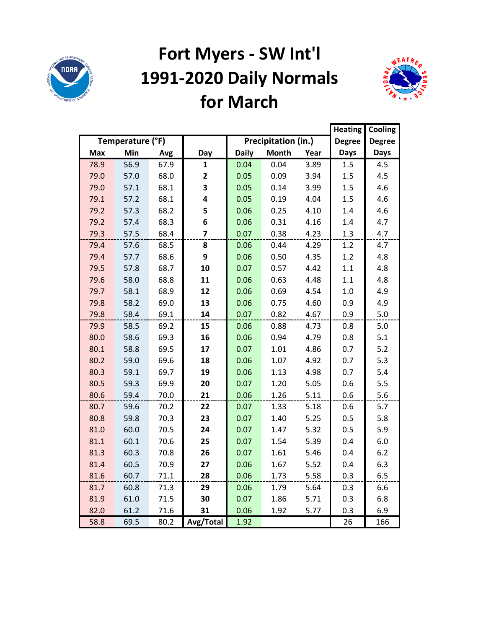

## **Fort Myers - SW Int'l 1991-2020 Daily Normals for March**



|            |                  |      |              |              |                     | <b>Heating</b> | Cooling       |               |
|------------|------------------|------|--------------|--------------|---------------------|----------------|---------------|---------------|
|            | Temperature (°F) |      |              |              | Precipitation (in.) |                | <b>Degree</b> | <b>Degree</b> |
| <b>Max</b> | Min              | Avg  | Day          | <b>Daily</b> | <b>Month</b>        | Year           | <b>Days</b>   | Days          |
| 78.9       | 56.9             | 67.9 | 1            | 0.04         | 0.04                | 3.89           | 1.5           | 4.5           |
| 79.0       | 57.0             | 68.0 | $\mathbf{2}$ | 0.05         | 0.09                | 3.94           | 1.5           | 4.5           |
| 79.0       | 57.1             | 68.1 | 3            | 0.05         | 0.14                | 3.99           | 1.5           | 4.6           |
| 79.1       | 57.2             | 68.1 | 4            | 0.05         | 0.19                | 4.04           | 1.5           | 4.6           |
| 79.2       | 57.3             | 68.2 | 5            | 0.06         | 0.25                | 4.10           | 1.4           | 4.6           |
| 79.2       | 57.4             | 68.3 | 6            | 0.06         | 0.31                | 4.16           | 1.4           | 4.7           |
| 79.3       | 57.5             | 68.4 | 7            | 0.07         | 0.38                | 4.23           | 1.3           | 4.7           |
| 79.4       | 57.6             | 68.5 | 8            | 0.06         | 0.44                | 4.29           | 1.2           | 4.7           |
| 79.4       | 57.7             | 68.6 | 9            | 0.06         | 0.50                | 4.35           | 1.2           | 4.8           |
| 79.5       | 57.8             | 68.7 | 10           | 0.07         | 0.57                | 4.42           | $1.1\,$       | 4.8           |
| 79.6       | 58.0             | 68.8 | 11           | 0.06         | 0.63                | 4.48           | 1.1           | 4.8           |
| 79.7       | 58.1             | 68.9 | 12           | 0.06         | 0.69                | 4.54           | 1.0           | 4.9           |
| 79.8       | 58.2             | 69.0 | 13           | 0.06         | 0.75                | 4.60           | 0.9           | 4.9           |
| 79.8       | 58.4             | 69.1 | 14           | 0.07         | 0.82                | 4.67           | 0.9           | 5.0           |
| 79.9       | 58.5             | 69.2 | 15           | 0.06         | 0.88                | 4.73           | 0.8           | 5.0           |
| 80.0       | 58.6             | 69.3 | 16           | 0.06         | 0.94                | 4.79           | 0.8           | 5.1           |
| 80.1       | 58.8             | 69.5 | 17           | 0.07         | 1.01                | 4.86           | 0.7           | 5.2           |
| 80.2       | 59.0             | 69.6 | 18           | 0.06         | 1.07                | 4.92           | 0.7           | 5.3           |
| 80.3       | 59.1             | 69.7 | 19           | 0.06         | 1.13                | 4.98           | 0.7           | 5.4           |
| 80.5       | 59.3             | 69.9 | 20           | 0.07         | 1.20                | 5.05           | 0.6           | 5.5           |
| 80.6       | 59.4             | 70.0 | 21           | 0.06         | 1.26                | 5.11           | 0.6           | 5.6           |
| 80.7       | 59.6             | 70.2 | 22           | 0.07         | 1.33                | 5.18           | 0.6           | 5.7           |
| 80.8       | 59.8             | 70.3 | 23           | 0.07         | 1.40                | 5.25           | 0.5           | 5.8           |
| 81.0       | 60.0             | 70.5 | 24           | 0.07         | 1.47                | 5.32           | 0.5           | 5.9           |
| 81.1       | 60.1             | 70.6 | 25           | 0.07         | 1.54                | 5.39           | 0.4           | 6.0           |
| 81.3       | 60.3             | 70.8 | 26           | 0.07         | 1.61                | 5.46           | 0.4           | 6.2           |
| 81.4       | 60.5             | 70.9 | 27           | 0.06         | 1.67                | 5.52           | 0.4           | 6.3           |
| 81.6       | 60.7             | 71.1 | 28           | 0.06         | 1.73                | 5.58           | 0.3           | 6.5           |
| 81.7       | 60.8             | 71.3 | 29           | 0.06         | 1.79                | 5.64           | 0.3           | 6.6           |
| 81.9       | 61.0             | 71.5 | 30           | 0.07         | 1.86                | 5.71           | 0.3           | 6.8           |
| 82.0       | 61.2             | 71.6 | 31           | 0.06         | 1.92                | 5.77           | 0.3           | 6.9           |
| 58.8       | 69.5             | 80.2 | Avg/Total    | 1.92         |                     |                | 26            | 166           |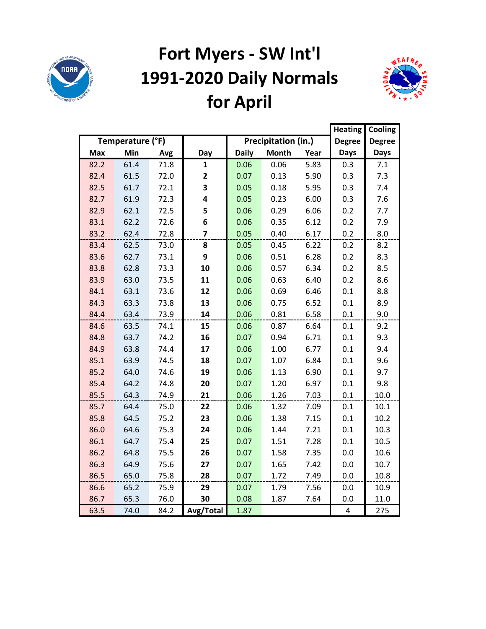

# **Fort Myers - SW Int'l 1991-2020 Daily Normals for April**



|            |                  |      |                |              |                     |      | <b>Heating</b> | Cooling       |
|------------|------------------|------|----------------|--------------|---------------------|------|----------------|---------------|
|            | Temperature (°F) |      |                |              | Precipitation (in.) |      | <b>Degree</b>  | <b>Degree</b> |
| <b>Max</b> | Min              | Avg  | Day            | <b>Daily</b> | <b>Month</b>        | Year | <b>Days</b>    | <b>Days</b>   |
| 82.2       | 61.4             | 71.8 | $\mathbf{1}$   | 0.06         | 0.06                | 5.83 | 0.3            | 7.1           |
| 82.4       | 61.5             | 72.0 | 2              | 0.07         | 0.13                | 5.90 | 0.3            | 7.3           |
| 82.5       | 61.7             | 72.1 | 3              | 0.05         | 0.18                | 5.95 | 0.3            | 7.4           |
| 82.7       | 61.9             | 72.3 | 4              | 0.05         | 0.23                | 6.00 | 0.3            | 7.6           |
| 82.9       | 62.1             | 72.5 | 5              | 0.06         | 0.29                | 6.06 | 0.2            | 7.7           |
| 83.1       | 62.2             | 72.6 | 6              | 0.06         | 0.35                | 6.12 | 0.2            | 7.9           |
| 83.2       | 62.4             | 72.8 | $\overline{7}$ | 0.05         | 0.40                | 6.17 | 0.2            | 8.0           |
| 83.4       | 62.5             | 73.0 | 8              | 0.05         | 0.45                | 6.22 | 0.2            | 8.2           |
| 83.6       | 62.7             | 73.1 | 9              | 0.06         | 0.51                | 6.28 | 0.2            | 8.3           |
| 83.8       | 62.8             | 73.3 | 10             | 0.06         | 0.57                | 6.34 | 0.2            | 8.5           |
| 83.9       | 63.0             | 73.5 | 11             | 0.06         | 0.63                | 6.40 | 0.2            | 8.6           |
| 84.1       | 63.1             | 73.6 | 12             | 0.06         | 0.69                | 6.46 | 0.1            | 8.8           |
| 84.3       | 63.3             | 73.8 | 13             | 0.06         | 0.75                | 6.52 | 0.1            | 8.9           |
| 84.4       | 63.4             | 73.9 | 14             | 0.06         | 0.81                | 6.58 | 0.1            | 9.0           |
| 84.6       | 63.5             | 74.1 | 15             | 0.06         | 0.87                | 6.64 | 0.1            | 9.2           |
| 84.8       | 63.7             | 74.2 | 16             | 0.07         | 0.94                | 6.71 | 0.1            | 9.3           |
| 84.9       | 63.8             | 74.4 | 17             | 0.06         | 1.00                | 6.77 | 0.1            | 9.4           |
| 85.1       | 63.9             | 74.5 | 18             | 0.07         | 1.07                | 6.84 | 0.1            | 9.6           |
| 85.2       | 64.0             | 74.6 | 19             | 0.06         | 1.13                | 6.90 | 0.1            | 9.7           |
| 85.4       | 64.2             | 74.8 | 20             | 0.07         | 1.20                | 6.97 | 0.1            | 9.8           |
| 85.5       | 64.3             | 74.9 | 21             | 0.06         | 1.26                | 7.03 | 0.1            | 10.0          |
| 85.7       | 64.4             | 75.0 | 22             | 0.06         | 1.32                | 7.09 | 0.1            | 10.1          |
| 85.8       | 64.5             | 75.2 | 23             | 0.06         | 1.38                | 7.15 | 0.1            | 10.2          |
| 86.0       | 64.6             | 75.3 | 24             | 0.06         | 1.44                | 7.21 | 0.1            | 10.3          |
| 86.1       | 64.7             | 75.4 | 25             | 0.07         | 1.51                | 7.28 | 0.1            | 10.5          |
| 86.2       | 64.8             | 75.5 | 26             | 0.07         | 1.58                | 7.35 | 0.0            | 10.6          |
| 86.3       | 64.9             | 75.6 | 27             | 0.07         | 1.65                | 7.42 | 0.0            | 10.7          |
| 86.5       | 65.0             | 75.8 | 28             | 0.07         | 1.72                | 7.49 | 0.0            | 10.8          |
| 86.6       | 65.2             | 75.9 | 29             | 0.07         | 1.79                | 7.56 | 0.0            | 10.9          |
| 86.7       | 65.3             | 76.0 | 30             | 0.08         | 1.87                | 7.64 | 0.0            | 11.0          |
| 63.5       | 74.0             | 84.2 | Avg/Total      | 1.87         |                     |      | 4              | 275           |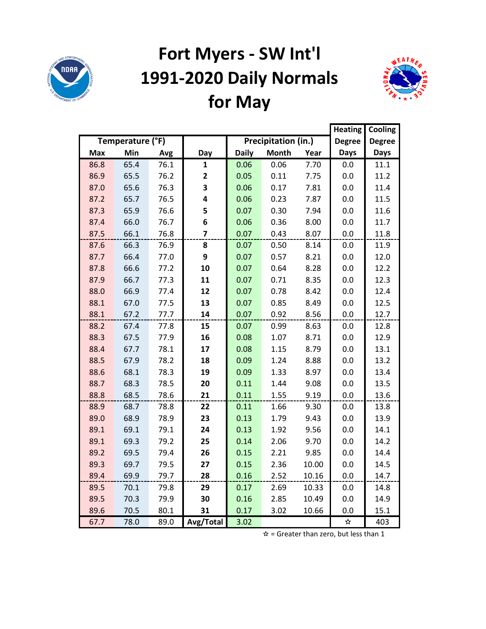

## **Fort Myers - SW Int'l 1991-2020 Daily Normals for May**



|            |                  |      |                         |              |                     |       | <b>Heating</b> | Cooling       |
|------------|------------------|------|-------------------------|--------------|---------------------|-------|----------------|---------------|
|            | Temperature (°F) |      |                         |              | Precipitation (in.) |       | <b>Degree</b>  | <b>Degree</b> |
| <b>Max</b> | Min              | Avg  | Day                     | <b>Daily</b> | <b>Month</b>        | Year  | <b>Days</b>    | Days          |
| 86.8       | 65.4             | 76.1 | $\mathbf{1}$            | 0.06         | 0.06                | 7.70  | 0.0            | 11.1          |
| 86.9       | 65.5             | 76.2 | $\mathbf{2}$            | 0.05         | 0.11                | 7.75  | 0.0            | 11.2          |
| 87.0       | 65.6             | 76.3 | 3                       | 0.06         | 0.17                | 7.81  | 0.0            | 11.4          |
| 87.2       | 65.7             | 76.5 | 4                       | 0.06         | 0.23                | 7.87  | 0.0            | 11.5          |
| 87.3       | 65.9             | 76.6 | 5                       | 0.07         | 0.30                | 7.94  | 0.0            | 11.6          |
| 87.4       | 66.0             | 76.7 | 6                       | 0.06         | 0.36                | 8.00  | 0.0            | 11.7          |
| 87.5       | 66.1             | 76.8 | $\overline{\mathbf{z}}$ | 0.07         | 0.43                | 8.07  | 0.0            | 11.8          |
| 87.6       | 66.3             | 76.9 | 8                       | 0.07         | 0.50                | 8.14  | 0.0            | 11.9          |
| 87.7       | 66.4             | 77.0 | 9                       | 0.07         | 0.57                | 8.21  | 0.0            | 12.0          |
| 87.8       | 66.6             | 77.2 | 10                      | 0.07         | 0.64                | 8.28  | 0.0            | 12.2          |
| 87.9       | 66.7             | 77.3 | 11                      | 0.07         | 0.71                | 8.35  | 0.0            | 12.3          |
| 88.0       | 66.9             | 77.4 | 12                      | 0.07         | 0.78                | 8.42  | 0.0            | 12.4          |
| 88.1       | 67.0             | 77.5 | 13                      | 0.07         | 0.85                | 8.49  | 0.0            | 12.5          |
| 88.1       | 67.2             | 77.7 | 14                      | 0.07         | 0.92                | 8.56  | 0.0            | 12.7          |
| 88.2       | 67.4             | 77.8 | 15                      | 0.07         | 0.99                | 8.63  | 0.0            | 12.8          |
| 88.3       | 67.5             | 77.9 | 16                      | 0.08         | 1.07                | 8.71  | 0.0            | 12.9          |
| 88.4       | 67.7             | 78.1 | 17                      | 0.08         | 1.15                | 8.79  | 0.0            | 13.1          |
| 88.5       | 67.9             | 78.2 | 18                      | 0.09         | 1.24                | 8.88  | 0.0            | 13.2          |
| 88.6       | 68.1             | 78.3 | 19                      | 0.09         | 1.33                | 8.97  | 0.0            | 13.4          |
| 88.7       | 68.3             | 78.5 | 20                      | 0.11         | 1.44                | 9.08  | 0.0            | 13.5          |
| 88.8       | 68.5             | 78.6 | 21                      | 0.11         | 1.55                | 9.19  | 0.0            | 13.6          |
| 88.9       | 68.7             | 78.8 | 22                      | 0.11         | 1.66                | 9.30  | 0.0            | 13.8          |
| 89.0       | 68.9             | 78.9 | 23                      | 0.13         | 1.79                | 9.43  | 0.0            | 13.9          |
| 89.1       | 69.1             | 79.1 | 24                      | 0.13         | 1.92                | 9.56  | 0.0            | 14.1          |
| 89.1       | 69.3             | 79.2 | 25                      | 0.14         | 2.06                | 9.70  | 0.0            | 14.2          |
| 89.2       | 69.5             | 79.4 | 26                      | 0.15         | 2.21                | 9.85  | 0.0            | 14.4          |
| 89.3       | 69.7             | 79.5 | 27                      | 0.15         | 2.36                | 10.00 | 0.0            | 14.5          |
| 89.4       | 69.9             | 79.7 | 28                      | 0.16         | 2.52                | 10.16 | 0.0            | 14.7          |
| 89.5       | 70.1             | 79.8 | 29                      | 0.17         | 2.69                | 10.33 | 0.0            | 14.8          |
| 89.5       | 70.3             | 79.9 | 30                      | 0.16         | 2.85                | 10.49 | 0.0            | 14.9          |
| 89.6       | 70.5             | 80.1 | 31                      | 0.17         | 3.02                | 10.66 | 0.0            | 15.1          |
| 67.7       | 78.0             | 89.0 | Avg/Total               | 3.02         |                     |       | ☆              | 403           |

 $\hat{x}$  = Greater than zero, but less than 1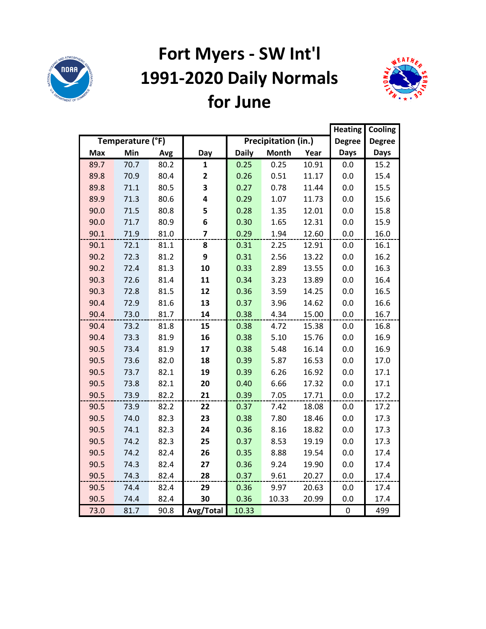

## **Fort Myers - SW Int'l 1991-2020 Daily Normals for June**



|            |                  |      |                |              |                     |       | <b>Heating</b> | Cooling       |
|------------|------------------|------|----------------|--------------|---------------------|-------|----------------|---------------|
|            | Temperature (°F) |      |                |              | Precipitation (in.) |       | <b>Degree</b>  | <b>Degree</b> |
| <b>Max</b> | Min              | Avg  | Day            | <b>Daily</b> | <b>Month</b>        | Year  | <b>Days</b>    | <b>Days</b>   |
| 89.7       | 70.7             | 80.2 | $\mathbf{1}$   | 0.25         | 0.25                | 10.91 | 0.0            | 15.2          |
| 89.8       | 70.9             | 80.4 | 2              | 0.26         | 0.51                | 11.17 | 0.0            | 15.4          |
| 89.8       | 71.1             | 80.5 | 3              | 0.27         | 0.78                | 11.44 | 0.0            | 15.5          |
| 89.9       | 71.3             | 80.6 | 4              | 0.29         | 1.07                | 11.73 | 0.0            | 15.6          |
| 90.0       | 71.5             | 80.8 | 5              | 0.28         | 1.35                | 12.01 | 0.0            | 15.8          |
| 90.0       | 71.7             | 80.9 | 6              | 0.30         | 1.65                | 12.31 | 0.0            | 15.9          |
| 90.1       | 71.9             | 81.0 | $\overline{7}$ | 0.29         | 1.94                | 12.60 | 0.0            | 16.0          |
| 90.1       | 72.1             | 81.1 | 8              | 0.31         | 2.25                | 12.91 | 0.0            | 16.1          |
| 90.2       | 72.3             | 81.2 | 9              | 0.31         | 2.56                | 13.22 | 0.0            | 16.2          |
| 90.2       | 72.4             | 81.3 | 10             | 0.33         | 2.89                | 13.55 | 0.0            | 16.3          |
| 90.3       | 72.6             | 81.4 | 11             | 0.34         | 3.23                | 13.89 | 0.0            | 16.4          |
| 90.3       | 72.8             | 81.5 | 12             | 0.36         | 3.59                | 14.25 | 0.0            | 16.5          |
| 90.4       | 72.9             | 81.6 | 13             | 0.37         | 3.96                | 14.62 | 0.0            | 16.6          |
| 90.4       | 73.0             | 81.7 | 14             | 0.38         | 4.34                | 15.00 | 0.0            | 16.7          |
| 90.4       | 73.2             | 81.8 | 15             | 0.38         | 4.72                | 15.38 | 0.0            | 16.8          |
| 90.4       | 73.3             | 81.9 | 16             | 0.38         | 5.10                | 15.76 | 0.0            | 16.9          |
| 90.5       | 73.4             | 81.9 | 17             | 0.38         | 5.48                | 16.14 | 0.0            | 16.9          |
| 90.5       | 73.6             | 82.0 | 18             | 0.39         | 5.87                | 16.53 | 0.0            | 17.0          |
| 90.5       | 73.7             | 82.1 | 19             | 0.39         | 6.26                | 16.92 | 0.0            | 17.1          |
| 90.5       | 73.8             | 82.1 | 20             | 0.40         | 6.66                | 17.32 | 0.0            | 17.1          |
| 90.5       | 73.9             | 82.2 | 21             | 0.39         | 7.05                | 17.71 | 0.0            | 17.2          |
| 90.5       | 73.9             | 82.2 | 22             | 0.37         | 7.42                | 18.08 | 0.0            | 17.2          |
| 90.5       | 74.0             | 82.3 | 23             | 0.38         | 7.80                | 18.46 | 0.0            | 17.3          |
| 90.5       | 74.1             | 82.3 | 24             | 0.36         | 8.16                | 18.82 | 0.0            | 17.3          |
| 90.5       | 74.2             | 82.3 | 25             | 0.37         | 8.53                | 19.19 | 0.0            | 17.3          |
| 90.5       | 74.2             | 82.4 | 26             | 0.35         | 8.88                | 19.54 | 0.0            | 17.4          |
| 90.5       | 74.3             | 82.4 | 27             | 0.36         | 9.24                | 19.90 | 0.0            | 17.4          |
| 90.5       | 74.3             | 82.4 | 28             | 0.37         | 9.61                | 20.27 | 0.0            | 17.4          |
| 90.5       | 74.4             | 82.4 | 29             | 0.36         | 9.97                | 20.63 | 0.0            | 17.4          |
| 90.5       | 74.4             | 82.4 | 30             | 0.36         | 10.33               | 20.99 | 0.0            | 17.4          |
| 73.0       | 81.7             | 90.8 | Avg/Total      | 10.33        |                     |       | $\pmb{0}$      | 499           |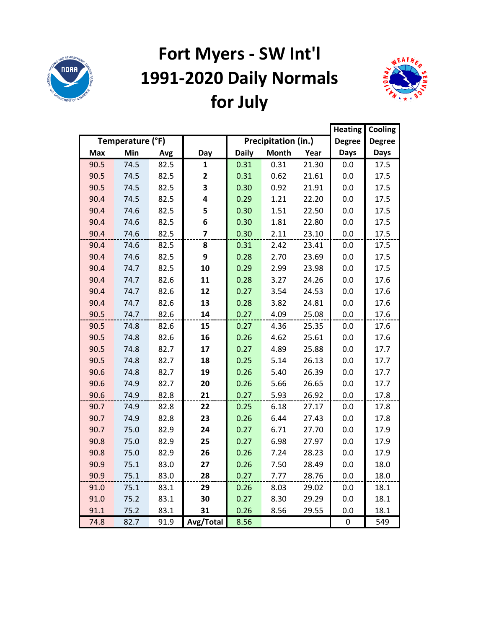

# **Fort Myers - SW Int'l 1991-2020 Daily Normals for July**



|            |                  |      |              |              |                     |       |               | Cooling       |
|------------|------------------|------|--------------|--------------|---------------------|-------|---------------|---------------|
|            | Temperature (°F) |      |              |              | Precipitation (in.) |       | <b>Degree</b> | <b>Degree</b> |
| <b>Max</b> | Min              | Avg  | Day          | <b>Daily</b> | <b>Month</b>        | Year  | <b>Days</b>   | <b>Days</b>   |
| 90.5       | 74.5             | 82.5 | 1            | 0.31         | 0.31                | 21.30 | 0.0           | 17.5          |
| 90.5       | 74.5             | 82.5 | $\mathbf{2}$ | 0.31         | 0.62                | 21.61 | 0.0           | 17.5          |
| 90.5       | 74.5             | 82.5 | 3            | 0.30         | 0.92                | 21.91 | 0.0           | 17.5          |
| 90.4       | 74.5             | 82.5 | 4            | 0.29         | 1.21                | 22.20 | 0.0           | 17.5          |
| 90.4       | 74.6             | 82.5 | 5            | 0.30         | 1.51                | 22.50 | 0.0           | 17.5          |
| 90.4       | 74.6             | 82.5 | 6            | 0.30         | 1.81                | 22.80 | 0.0           | 17.5          |
| 90.4       | 74.6             | 82.5 | 7            | 0.30         | 2.11                | 23.10 | 0.0           | 17.5          |
| 90.4       | 74.6             | 82.5 | 8            | 0.31         | 2.42                | 23.41 | 0.0           | 17.5          |
| 90.4       | 74.6             | 82.5 | 9            | 0.28         | 2.70                | 23.69 | 0.0           | 17.5          |
| 90.4       | 74.7             | 82.5 | 10           | 0.29         | 2.99                | 23.98 | 0.0           | 17.5          |
| 90.4       | 74.7             | 82.6 | 11           | 0.28         | 3.27                | 24.26 | 0.0           | 17.6          |
| 90.4       | 74.7             | 82.6 | 12           | 0.27         | 3.54                | 24.53 | 0.0           | 17.6          |
| 90.4       | 74.7             | 82.6 | 13           | 0.28         | 3.82                | 24.81 | 0.0           | 17.6          |
| 90.5       | 74.7             | 82.6 | 14           | 0.27         | 4.09                | 25.08 | 0.0           | 17.6          |
| 90.5       | 74.8             | 82.6 | 15           | 0.27         | 4.36                | 25.35 | 0.0           | 17.6          |
| 90.5       | 74.8             | 82.6 | 16           | 0.26         | 4.62                | 25.61 | 0.0           | 17.6          |
| 90.5       | 74.8             | 82.7 | 17           | 0.27         | 4.89                | 25.88 | 0.0           | 17.7          |
| 90.5       | 74.8             | 82.7 | 18           | 0.25         | 5.14                | 26.13 | 0.0           | 17.7          |
| 90.6       | 74.8             | 82.7 | 19           | 0.26         | 5.40                | 26.39 | 0.0           | 17.7          |
| 90.6       | 74.9             | 82.7 | 20           | 0.26         | 5.66                | 26.65 | 0.0           | 17.7          |
| 90.6       | 74.9             | 82.8 | 21           | 0.27         | 5.93                | 26.92 | 0.0           | 17.8          |
| 90.7       | 74.9             | 82.8 | 22           | 0.25         | 6.18                | 27.17 | 0.0           | 17.8          |
| 90.7       | 74.9             | 82.8 | 23           | 0.26         | 6.44                | 27.43 | 0.0           | 17.8          |
| 90.7       | 75.0             | 82.9 | 24           | 0.27         | 6.71                | 27.70 | 0.0           | 17.9          |
| 90.8       | 75.0             | 82.9 | 25           | 0.27         | 6.98                | 27.97 | 0.0           | 17.9          |
| 90.8       | 75.0             | 82.9 | 26           | 0.26         | 7.24                | 28.23 | 0.0           | 17.9          |
| 90.9       | 75.1             | 83.0 | 27           | 0.26         | 7.50                | 28.49 | 0.0           | 18.0          |
| 90.9       | 75.1             | 83.0 | 28           | 0.27         | 7.77                | 28.76 | 0.0           | 18.0          |
| 91.0       | 75.1             | 83.1 | 29           | 0.26         | 8.03                | 29.02 | 0.0           | 18.1          |
| 91.0       | 75.2             | 83.1 | 30           | 0.27         | 8.30                | 29.29 | 0.0           | 18.1          |
| 91.1       | 75.2             | 83.1 | 31           | 0.26         | 8.56                | 29.55 | 0.0           | 18.1          |
| 74.8       | 82.7             | 91.9 | Avg/Total    | 8.56         |                     |       | 0             | 549           |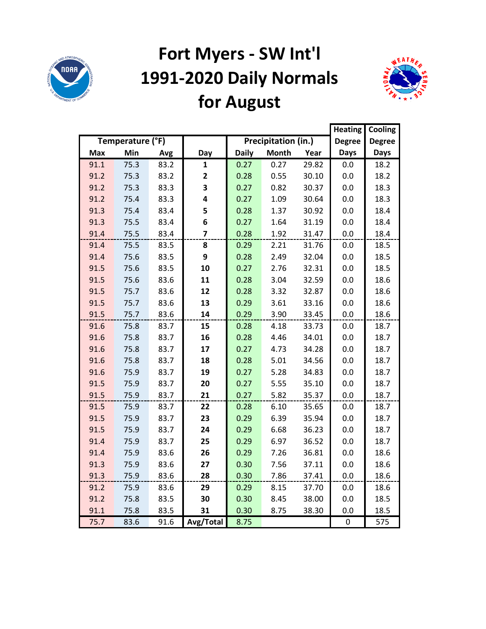

## **Fort Myers - SW Int'l 1991-2020 Daily Normals for August**



|            |                  |      |              |              |                     |       | <b>Heating</b> | Cooling       |
|------------|------------------|------|--------------|--------------|---------------------|-------|----------------|---------------|
|            | Temperature (°F) |      |              |              | Precipitation (in.) |       | <b>Degree</b>  | <b>Degree</b> |
| <b>Max</b> | Min              | Avg  | Day          | <b>Daily</b> | <b>Month</b>        | Year  | <b>Days</b>    | <b>Days</b>   |
| 91.1       | 75.3             | 83.2 | 1            | 0.27         | 0.27                | 29.82 | 0.0            | 18.2          |
| 91.2       | 75.3             | 83.2 | $\mathbf{2}$ | 0.28         | 0.55                | 30.10 | 0.0            | 18.2          |
| 91.2       | 75.3             | 83.3 | 3            | 0.27         | 0.82                | 30.37 | 0.0            | 18.3          |
| 91.2       | 75.4             | 83.3 | 4            | 0.27         | 1.09                | 30.64 | 0.0            | 18.3          |
| 91.3       | 75.4             | 83.4 | 5            | 0.28         | 1.37                | 30.92 | 0.0            | 18.4          |
| 91.3       | 75.5             | 83.4 | 6            | 0.27         | 1.64                | 31.19 | 0.0            | 18.4          |
| 91.4       | 75.5             | 83.4 | 7            | 0.28         | 1.92                | 31.47 | 0.0            | 18.4          |
| 91.4       | 75.5             | 83.5 | 8            | 0.29         | 2.21                | 31.76 | 0.0            | 18.5          |
| 91.4       | 75.6             | 83.5 | 9            | 0.28         | 2.49                | 32.04 | 0.0            | 18.5          |
| 91.5       | 75.6             | 83.5 | 10           | 0.27         | 2.76                | 32.31 | 0.0            | 18.5          |
| 91.5       | 75.6             | 83.6 | 11           | 0.28         | 3.04                | 32.59 | 0.0            | 18.6          |
| 91.5       | 75.7             | 83.6 | 12           | 0.28         | 3.32                | 32.87 | 0.0            | 18.6          |
| 91.5       | 75.7             | 83.6 | 13           | 0.29         | 3.61                | 33.16 | 0.0            | 18.6          |
| 91.5       | 75.7             | 83.6 | 14           | 0.29         | 3.90                | 33.45 | 0.0            | 18.6          |
| 91.6       | 75.8             | 83.7 | 15           | 0.28         | 4.18                | 33.73 | 0.0            | 18.7          |
| 91.6       | 75.8             | 83.7 | 16           | 0.28         | 4.46                | 34.01 | 0.0            | 18.7          |
| 91.6       | 75.8             | 83.7 | 17           | 0.27         | 4.73                | 34.28 | 0.0            | 18.7          |
| 91.6       | 75.8             | 83.7 | 18           | 0.28         | 5.01                | 34.56 | 0.0            | 18.7          |
| 91.6       | 75.9             | 83.7 | 19           | 0.27         | 5.28                | 34.83 | 0.0            | 18.7          |
| 91.5       | 75.9             | 83.7 | 20           | 0.27         | 5.55                | 35.10 | 0.0            | 18.7          |
| 91.5       | 75.9             | 83.7 | 21           | 0.27         | 5.82                | 35.37 | 0.0            | 18.7          |
| 91.5       | 75.9             | 83.7 | 22           | 0.28         | 6.10                | 35.65 | 0.0            | 18.7          |
| 91.5       | 75.9             | 83.7 | 23           | 0.29         | 6.39                | 35.94 | 0.0            | 18.7          |
| 91.5       | 75.9             | 83.7 | 24           | 0.29         | 6.68                | 36.23 | 0.0            | 18.7          |
| 91.4       | 75.9             | 83.7 | 25           | 0.29         | 6.97                | 36.52 | 0.0            | 18.7          |
| 91.4       | 75.9             | 83.6 | 26           | 0.29         | 7.26                | 36.81 | 0.0            | 18.6          |
| 91.3       | 75.9             | 83.6 | 27           | 0.30         | 7.56                | 37.11 | 0.0            | 18.6          |
| 91.3       | 75.9             | 83.6 | 28           | 0.30         | 7.86                | 37.41 | 0.0            | 18.6          |
| 91.2       | 75.9             | 83.6 | 29           | 0.29         | 8.15                | 37.70 | 0.0            | 18.6          |
| 91.2       | 75.8             | 83.5 | 30           | 0.30         | 8.45                | 38.00 | 0.0            | 18.5          |
| 91.1       | 75.8             | 83.5 | 31           | 0.30         | 8.75                | 38.30 | 0.0            | 18.5          |
| 75.7       | 83.6             | 91.6 | Avg/Total    | 8.75         |                     |       | 0              | 575           |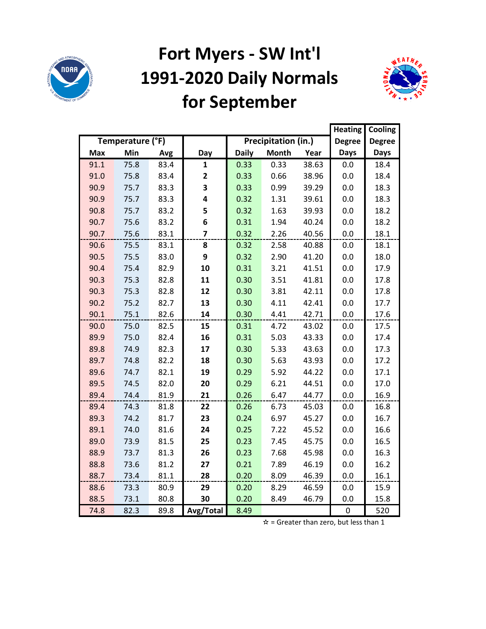

### **Fort Myers - SW Int'l 1991-2020 Daily Normals for September**



|            |                  |      |                |              |                     |       | <b>Heating</b> | Cooling       |
|------------|------------------|------|----------------|--------------|---------------------|-------|----------------|---------------|
|            | Temperature (°F) |      |                |              | Precipitation (in.) |       | <b>Degree</b>  | <b>Degree</b> |
| <b>Max</b> | Min              | Avg  | Day            | <b>Daily</b> | <b>Month</b>        | Year  | <b>Days</b>    | <b>Days</b>   |
| 91.1       | 75.8             | 83.4 | 1              | 0.33         | 0.33                | 38.63 | 0.0            | 18.4          |
| 91.0       | 75.8             | 83.4 | 2              | 0.33         | 0.66                | 38.96 | 0.0            | 18.4          |
| 90.9       | 75.7             | 83.3 | 3              | 0.33         | 0.99                | 39.29 | 0.0            | 18.3          |
| 90.9       | 75.7             | 83.3 | 4              | 0.32         | 1.31                | 39.61 | 0.0            | 18.3          |
| 90.8       | 75.7             | 83.2 | 5              | 0.32         | 1.63                | 39.93 | 0.0            | 18.2          |
| 90.7       | 75.6             | 83.2 | 6              | 0.31         | 1.94                | 40.24 | 0.0            | 18.2          |
| 90.7       | 75.6             | 83.1 | $\overline{7}$ | 0.32         | 2.26                | 40.56 | 0.0            | 18.1          |
| 90.6       | 75.5             | 83.1 | 8              | 0.32         | 2.58                | 40.88 | 0.0            | 18.1          |
| 90.5       | 75.5             | 83.0 | 9              | 0.32         | 2.90                | 41.20 | 0.0            | 18.0          |
| 90.4       | 75.4             | 82.9 | 10             | 0.31         | 3.21                | 41.51 | 0.0            | 17.9          |
| 90.3       | 75.3             | 82.8 | 11             | 0.30         | 3.51                | 41.81 | 0.0            | 17.8          |
| 90.3       | 75.3             | 82.8 | 12             | 0.30         | 3.81                | 42.11 | 0.0            | 17.8          |
| 90.2       | 75.2             | 82.7 | 13             | 0.30         | 4.11                | 42.41 | 0.0            | 17.7          |
| 90.1       | 75.1             | 82.6 | 14             | 0.30         | 4.41                | 42.71 | 0.0            | 17.6          |
| 90.0       | 75.0             | 82.5 | 15             | 0.31         | 4.72                | 43.02 | 0.0            | 17.5          |
| 89.9       | 75.0             | 82.4 | 16             | 0.31         | 5.03                | 43.33 | 0.0            | 17.4          |
| 89.8       | 74.9             | 82.3 | 17             | 0.30         | 5.33                | 43.63 | 0.0            | 17.3          |
| 89.7       | 74.8             | 82.2 | 18             | 0.30         | 5.63                | 43.93 | 0.0            | 17.2          |
| 89.6       | 74.7             | 82.1 | 19             | 0.29         | 5.92                | 44.22 | 0.0            | 17.1          |
| 89.5       | 74.5             | 82.0 | 20             | 0.29         | 6.21                | 44.51 | 0.0            | 17.0          |
| 89.4       | 74.4             | 81.9 | 21             | 0.26         | 6.47                | 44.77 | 0.0            | 16.9          |
| 89.4       | 74.3             | 81.8 | 22             | 0.26         | 6.73                | 45.03 | 0.0            | 16.8          |
| 89.3       | 74.2             | 81.7 | 23             | 0.24         | 6.97                | 45.27 | 0.0            | 16.7          |
| 89.1       | 74.0             | 81.6 | 24             | 0.25         | 7.22                | 45.52 | 0.0            | 16.6          |
| 89.0       | 73.9             | 81.5 | 25             | 0.23         | 7.45                | 45.75 | 0.0            | 16.5          |
| 88.9       | 73.7             | 81.3 | 26             | 0.23         | 7.68                | 45.98 | 0.0            | 16.3          |
| 88.8       | 73.6             | 81.2 | 27             | 0.21         | 7.89                | 46.19 | 0.0            | 16.2          |
| 88.7       | 73.4             | 81.1 | 28             | 0.20         | 8.09                | 46.39 | 0.0            | 16.1          |
| 88.6       | 73.3             | 80.9 | 29             | 0.20         | 8.29                | 46.59 | 0.0            | 15.9          |
| 88.5       | 73.1             | 80.8 | 30             | 0.20         | 8.49                | 46.79 | 0.0            | 15.8          |
| 74.8       | 82.3             | 89.8 | Avg/Total      | 8.49         |                     |       | $\mathbf 0$    | 520           |

 $\mathbf{\dot{x}}$  = Greater than zero, but less than 1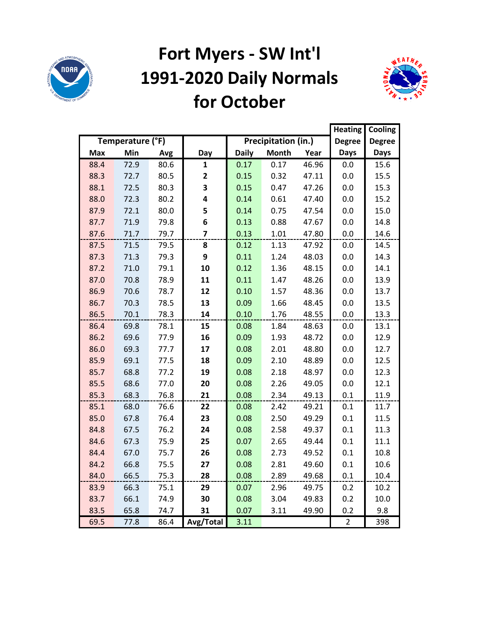

## **Fort Myers - SW Int'l 1991-2020 Daily Normals for October**



|            |                  |      |              |              |                     |       | <b>Heating</b> | Cooling       |
|------------|------------------|------|--------------|--------------|---------------------|-------|----------------|---------------|
|            | Temperature (°F) |      |              |              | Precipitation (in.) |       | <b>Degree</b>  | <b>Degree</b> |
| <b>Max</b> | Min              | Avg  | Day          | <b>Daily</b> | <b>Month</b>        | Year  | <b>Days</b>    | <b>Days</b>   |
| 88.4       | 72.9             | 80.6 | 1            | 0.17         | 0.17                | 46.96 | 0.0            | 15.6          |
| 88.3       | 72.7             | 80.5 | $\mathbf{2}$ | 0.15         | 0.32                | 47.11 | 0.0            | 15.5          |
| 88.1       | 72.5             | 80.3 | 3            | 0.15         | 0.47                | 47.26 | 0.0            | 15.3          |
| 88.0       | 72.3             | 80.2 | 4            | 0.14         | 0.61                | 47.40 | 0.0            | 15.2          |
| 87.9       | 72.1             | 80.0 | 5            | 0.14         | 0.75                | 47.54 | 0.0            | 15.0          |
| 87.7       | 71.9             | 79.8 | 6            | 0.13         | 0.88                | 47.67 | 0.0            | 14.8          |
| 87.6       | 71.7             | 79.7 | 7            | 0.13         | 1.01                | 47.80 | 0.0            | 14.6          |
| 87.5       | 71.5             | 79.5 | 8            | 0.12         | 1.13                | 47.92 | 0.0            | 14.5          |
| 87.3       | 71.3             | 79.3 | 9            | 0.11         | 1.24                | 48.03 | 0.0            | 14.3          |
| 87.2       | 71.0             | 79.1 | 10           | 0.12         | 1.36                | 48.15 | 0.0            | 14.1          |
| 87.0       | 70.8             | 78.9 | 11           | 0.11         | 1.47                | 48.26 | 0.0            | 13.9          |
| 86.9       | 70.6             | 78.7 | 12           | 0.10         | 1.57                | 48.36 | 0.0            | 13.7          |
| 86.7       | 70.3             | 78.5 | 13           | 0.09         | 1.66                | 48.45 | 0.0            | 13.5          |
| 86.5       | 70.1             | 78.3 | 14           | 0.10         | 1.76                | 48.55 | 0.0            | 13.3          |
| 86.4       | 69.8             | 78.1 | 15           | 0.08         | 1.84                | 48.63 | 0.0            | 13.1          |
| 86.2       | 69.6             | 77.9 | 16           | 0.09         | 1.93                | 48.72 | 0.0            | 12.9          |
| 86.0       | 69.3             | 77.7 | 17           | 0.08         | 2.01                | 48.80 | 0.0            | 12.7          |
| 85.9       | 69.1             | 77.5 | 18           | 0.09         | 2.10                | 48.89 | 0.0            | 12.5          |
| 85.7       | 68.8             | 77.2 | 19           | 0.08         | 2.18                | 48.97 | 0.0            | 12.3          |
| 85.5       | 68.6             | 77.0 | 20           | 0.08         | 2.26                | 49.05 | 0.0            | 12.1          |
| 85.3       | 68.3             | 76.8 | 21           | 0.08         | 2.34                | 49.13 | 0.1            | 11.9          |
| 85.1       | 68.0             | 76.6 | 22           | 0.08         | 2.42                | 49.21 | 0.1            | 11.7          |
| 85.0       | 67.8             | 76.4 | 23           | 0.08         | 2.50                | 49.29 | 0.1            | 11.5          |
| 84.8       | 67.5             | 76.2 | 24           | 0.08         | 2.58                | 49.37 | 0.1            | 11.3          |
| 84.6       | 67.3             | 75.9 | 25           | 0.07         | 2.65                | 49.44 | 0.1            | 11.1          |
| 84.4       | 67.0             | 75.7 | 26           | 0.08         | 2.73                | 49.52 | 0.1            | 10.8          |
| 84.2       | 66.8             | 75.5 | 27           | 0.08         | 2.81                | 49.60 | 0.1            | 10.6          |
| 84.0       | 66.5             | 75.3 | 28           | 0.08         | 2.89                | 49.68 | 0.1            | 10.4          |
| 83.9       | 66.3             | 75.1 | 29           | 0.07         | 2.96                | 49.75 | 0.2            | 10.2          |
| 83.7       | 66.1             | 74.9 | 30           | 0.08         | 3.04                | 49.83 | 0.2            | 10.0          |
| 83.5       | 65.8             | 74.7 | 31           | 0.07         | 3.11                | 49.90 | 0.2            | 9.8           |
| 69.5       | 77.8             | 86.4 | Avg/Total    | 3.11         |                     |       | $\overline{2}$ | 398           |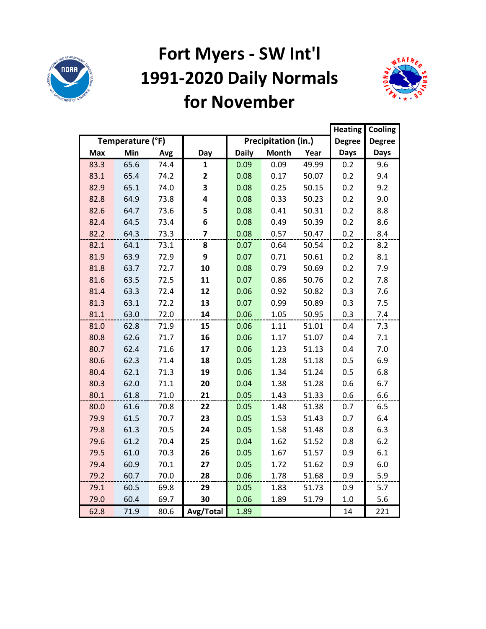

#### **Fort Myers - SW Int'l 1991-2020 Daily Normals for November**



|            |                  |      |                |              |                     |       | <b>Heating</b> | Cooling       |
|------------|------------------|------|----------------|--------------|---------------------|-------|----------------|---------------|
|            | Temperature (°F) |      |                |              | Precipitation (in.) |       | <b>Degree</b>  | <b>Degree</b> |
| <b>Max</b> | Min              | Avg  | Day            | <b>Daily</b> | <b>Month</b>        | Year  | <b>Days</b>    | <b>Days</b>   |
| 83.3       | 65.6             | 74.4 | $\mathbf{1}$   | 0.09         | 0.09                | 49.99 | 0.2            | 9.6           |
| 83.1       | 65.4             | 74.2 | $\mathbf{2}$   | 0.08         | 0.17                | 50.07 | 0.2            | 9.4           |
| 82.9       | 65.1             | 74.0 | 3              | 0.08         | 0.25                | 50.15 | 0.2            | 9.2           |
| 82.8       | 64.9             | 73.8 | 4              | 0.08         | 0.33                | 50.23 | 0.2            | 9.0           |
| 82.6       | 64.7             | 73.6 | 5              | 0.08         | 0.41                | 50.31 | 0.2            | 8.8           |
| 82.4       | 64.5             | 73.4 | 6              | 0.08         | 0.49                | 50.39 | 0.2            | 8.6           |
| 82.2       | 64.3             | 73.3 | $\overline{7}$ | 0.08         | 0.57                | 50.47 | 0.2            | 8.4           |
| 82.1       | 64.1             | 73.1 | 8              | 0.07         | 0.64                | 50.54 | 0.2            | 8.2           |
| 81.9       | 63.9             | 72.9 | 9              | 0.07         | 0.71                | 50.61 | 0.2            | 8.1           |
| 81.8       | 63.7             | 72.7 | 10             | 0.08         | 0.79                | 50.69 | 0.2            | 7.9           |
| 81.6       | 63.5             | 72.5 | 11             | 0.07         | 0.86                | 50.76 | 0.2            | 7.8           |
| 81.4       | 63.3             | 72.4 | 12             | 0.06         | 0.92                | 50.82 | 0.3            | 7.6           |
| 81.3       | 63.1             | 72.2 | 13             | 0.07         | 0.99                | 50.89 | 0.3            | 7.5           |
| 81.1       | 63.0             | 72.0 | 14             | 0.06         | 1.05                | 50.95 | 0.3            | 7.4           |
| 81.0       | 62.8             | 71.9 | 15             | 0.06         | 1.11                | 51.01 | 0.4            | 7.3           |
| 80.8       | 62.6             | 71.7 | 16             | 0.06         | 1.17                | 51.07 | 0.4            | 7.1           |
| 80.7       | 62.4             | 71.6 | 17             | 0.06         | 1.23                | 51.13 | 0.4            | 7.0           |
| 80.6       | 62.3             | 71.4 | 18             | 0.05         | 1.28                | 51.18 | 0.5            | 6.9           |
| 80.4       | 62.1             | 71.3 | 19             | 0.06         | 1.34                | 51.24 | 0.5            | 6.8           |
| 80.3       | 62.0             | 71.1 | 20             | 0.04         | 1.38                | 51.28 | 0.6            | 6.7           |
| 80.1       | 61.8             | 71.0 | 21             | 0.05         | 1.43                | 51.33 | 0.6            | 6.6           |
| 80.0       | 61.6             | 70.8 | 22             | 0.05         | 1.48                | 51.38 | 0.7            | 6.5           |
| 79.9       | 61.5             | 70.7 | 23             | 0.05         | 1.53                | 51.43 | 0.7            | 6.4           |
| 79.8       | 61.3             | 70.5 | 24             | 0.05         | 1.58                | 51.48 | 0.8            | 6.3           |
| 79.6       | 61.2             | 70.4 | 25             | 0.04         | 1.62                | 51.52 | 0.8            | 6.2           |
| 79.5       | 61.0             | 70.3 | 26             | 0.05         | 1.67                | 51.57 | 0.9            | 6.1           |
| 79.4       | 60.9             | 70.1 | 27             | 0.05         | 1.72                | 51.62 | 0.9            | 6.0           |
| 79.2       | 60.7             | 70.0 | 28             | 0.06         | 1.78                | 51.68 | 0.9            | 5.9           |
| 79.1       | 60.5             | 69.8 | 29             | 0.05         | 1.83                | 51.73 | 0.9            | 5.7           |
| 79.0       | 60.4             | 69.7 | 30             | 0.06         | 1.89                | 51.79 | 1.0            | 5.6           |
| 62.8       | 71.9             | 80.6 | Avg/Total      | 1.89         |                     |       | 14             | 221           |